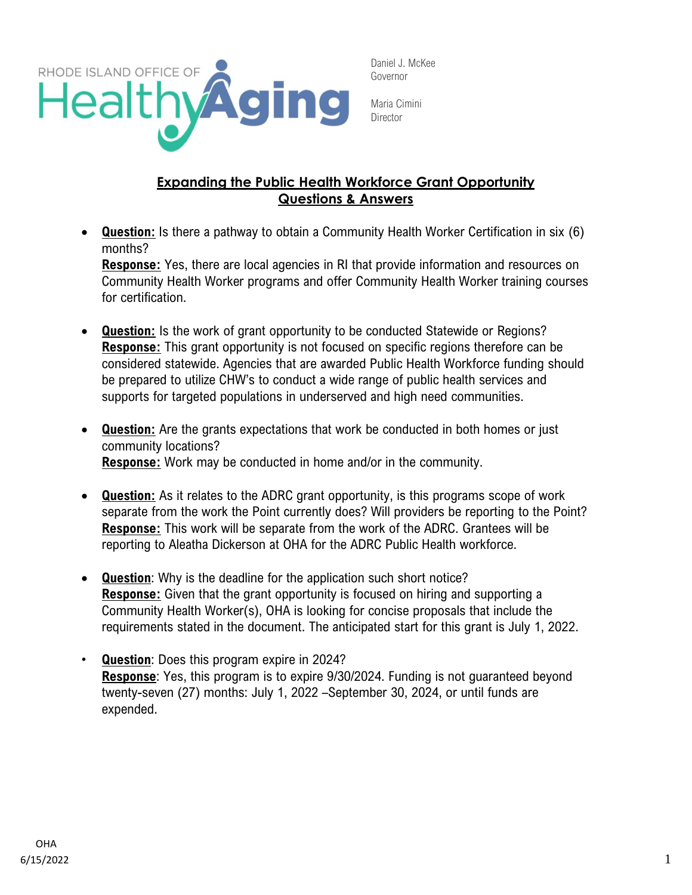

Maria Cimini **Director** 

## **Expanding the Public Health Workforce Grant Opportunity Questions & Answers**

• **Question:** Is there a pathway to obtain a Community Health Worker Certification in six (6) months?

**Response:** Yes, there are local agencies in RI that provide information and resources on Community Health Worker programs and offer Community Health Worker training courses for certification.

- **Question:** Is the work of grant opportunity to be conducted Statewide or Regions? **Response:** This grant opportunity is not focused on specific regions therefore can be considered statewide. Agencies that are awarded Public Health Workforce funding should be prepared to utilize CHW's to conduct a wide range of public health services and supports for targeted populations in underserved and high need communities.
- **Question:** Are the grants expectations that work be conducted in both homes or just community locations? **Response:** Work may be conducted in home and/or in the community.
- **Question:** As it relates to the ADRC grant opportunity, is this programs scope of work separate from the work the Point currently does? Will providers be reporting to the Point? **Response:** This work will be separate from the work of the ADRC. Grantees will be reporting to Aleatha Dickerson at OHA for the ADRC Public Health workforce.
- **Question**: Why is the deadline for the application such short notice? **Response:** Given that the grant opportunity is focused on hiring and supporting a Community Health Worker(s), OHA is looking for concise proposals that include the requirements stated in the document. The anticipated start for this grant is July 1, 2022.
- **Question**: Does this program expire in 2024? **Response**: Yes, this program is to expire 9/30/2024. Funding is not guaranteed beyond twenty-seven (27) months: July 1, 2022 –September 30, 2024, or until funds are expended.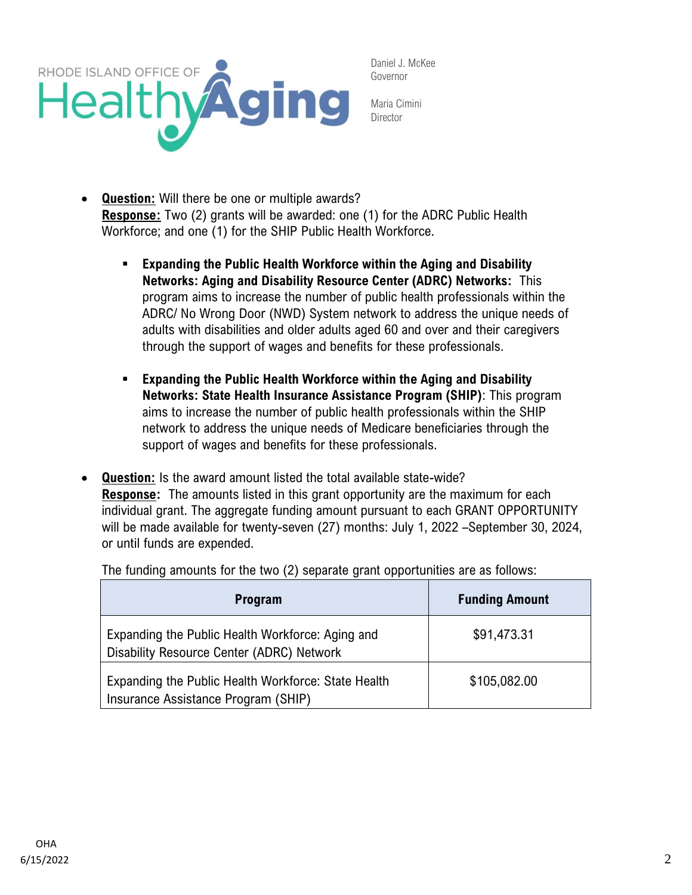

Maria Cimini **Director** 

- **Question:** Will there be one or multiple awards? **Response:** Two (2) grants will be awarded: one (1) for the ADRC Public Health Workforce; and one (1) for the SHIP Public Health Workforce.
	- **Expanding the Public Health Workforce within the Aging and Disability Networks: Aging and Disability Resource Center (ADRC) Networks:** This program aims to increase the number of public health professionals within the ADRC/ No Wrong Door (NWD) System network to address the unique needs of adults with disabilities and older adults aged 60 and over and their caregivers through the support of wages and benefits for these professionals.
	- **Expanding the Public Health Workforce within the Aging and Disability Networks: State Health Insurance Assistance Program (SHIP)**: This program aims to increase the number of public health professionals within the SHIP network to address the unique needs of Medicare beneficiaries through the support of wages and benefits for these professionals.
- **Question:** Is the award amount listed the total available state-wide? **Response:** The amounts listed in this grant opportunity are the maximum for each individual grant. The aggregate funding amount pursuant to each GRANT OPPORTUNITY will be made available for twenty-seven (27) months: July 1, 2022 –September 30, 2024, or until funds are expended.

The funding amounts for the two (2) separate grant opportunities are as follows:

| <b>Program</b>                                                                                | <b>Funding Amount</b> |
|-----------------------------------------------------------------------------------------------|-----------------------|
| Expanding the Public Health Workforce: Aging and<br>Disability Resource Center (ADRC) Network | \$91,473.31           |
| Expanding the Public Health Workforce: State Health<br>Insurance Assistance Program (SHIP)    | \$105,082.00          |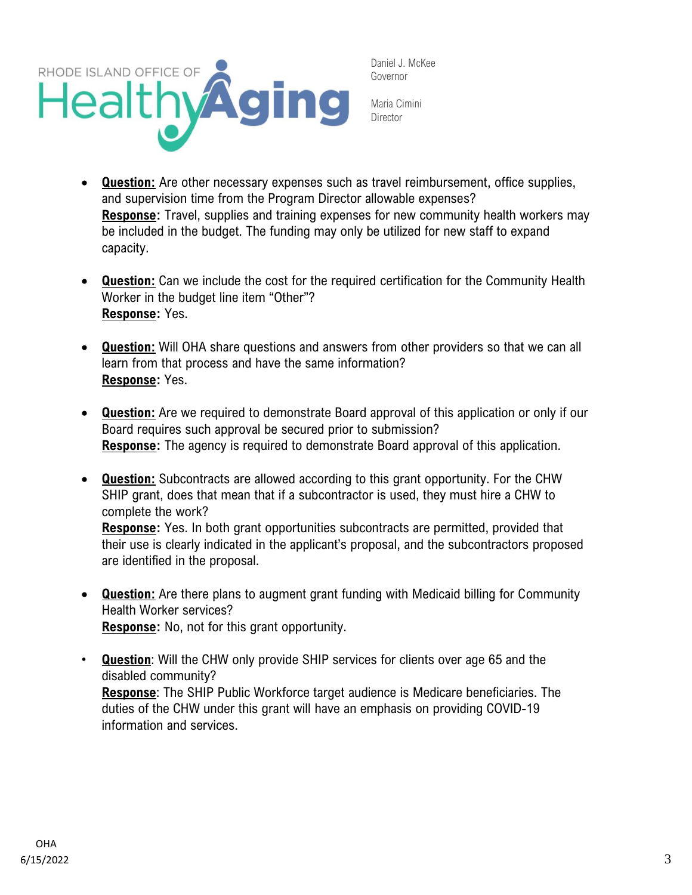

Maria Cimini **Director** 

- **Question:** Are other necessary expenses such as travel reimbursement, office supplies, and supervision time from the Program Director allowable expenses? **Response:** Travel, supplies and training expenses for new community health workers may be included in the budget. The funding may only be utilized for new staff to expand capacity.
- **Question:** Can we include the cost for the required certification for the Community Health Worker in the budget line item "Other"? **Response:** Yes.
- **Question:** Will OHA share questions and answers from other providers so that we can all learn from that process and have the same information? **Response:** Yes.
- **Question:** Are we required to demonstrate Board approval of this application or only if our Board requires such approval be secured prior to submission? **Response:** The agency is required to demonstrate Board approval of this application.
- **Question:** Subcontracts are allowed according to this grant opportunity. For the CHW SHIP grant, does that mean that if a subcontractor is used, they must hire a CHW to complete the work? **Response:** Yes. In both grant opportunities subcontracts are permitted, provided that their use is clearly indicated in the applicant's proposal, and the subcontractors proposed
	- are identified in the proposal.
- **Question:** Are there plans to augment grant funding with Medicaid billing for Community Health Worker services? **Response:** No, not for this grant opportunity.
- **Question**: Will the CHW only provide SHIP services for clients over age 65 and the disabled community? **Response**: The SHIP Public Workforce target audience is Medicare beneficiaries. The duties of the CHW under this grant will have an emphasis on providing COVID-19 information and services.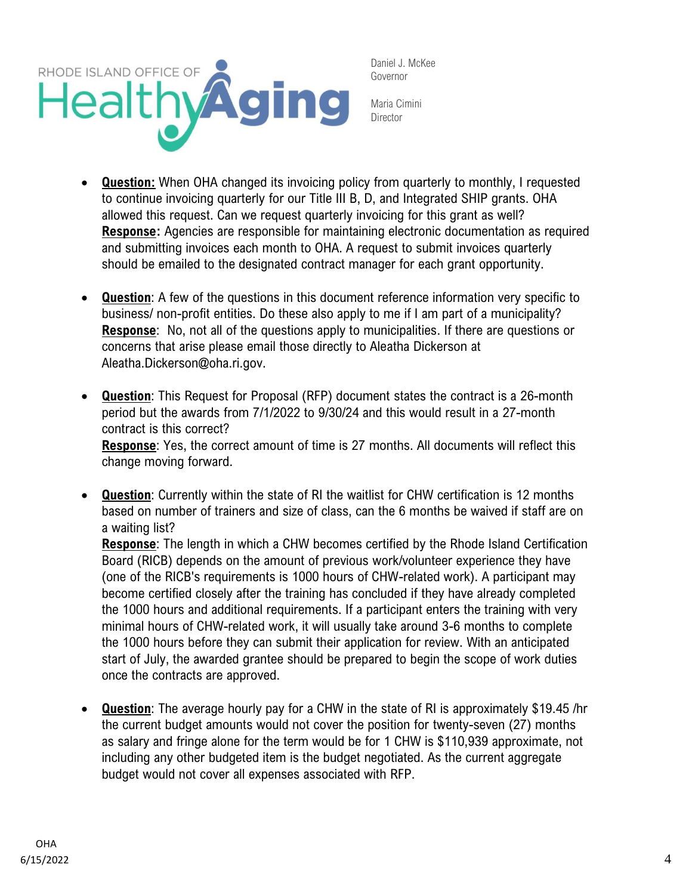

Maria Cimini **Director** 

- **Question:** When OHA changed its invoicing policy from quarterly to monthly, I requested to continue invoicing quarterly for our Title III B, D, and Integrated SHIP grants. OHA allowed this request. Can we request quarterly invoicing for this grant as well? **Response:** Agencies are responsible for maintaining electronic documentation as required and submitting invoices each month to OHA. A request to submit invoices quarterly should be emailed to the designated contract manager for each grant opportunity.
- **Question**: A few of the questions in this document reference information very specific to business/ non-profit entities. Do these also apply to me if I am part of a municipality? **Response**: No, not all of the questions apply to municipalities. If there are questions or concerns that arise please email those directly to Aleatha Dickerson at Aleatha.Dickerson@oha.ri.gov.
- **Question**: This Request for Proposal (RFP) document states the contract is a 26-month period but the awards from 7/1/2022 to 9/30/24 and this would result in a 27-month contract is this correct? **Response**: Yes, the correct amount of time is 27 months. All documents will reflect this change moving forward.
- **Question**: Currently within the state of RI the waitlist for CHW certification is 12 months based on number of trainers and size of class, can the 6 months be waived if staff are on a waiting list?

**Response**: The length in which a CHW becomes certified by the Rhode Island Certification Board (RICB) depends on the amount of previous work/volunteer experience they have (one of the RICB's requirements is 1000 hours of CHW-related work). A participant may become certified closely after the training has concluded if they have already completed the 1000 hours and additional requirements. If a participant enters the training with very minimal hours of CHW-related work, it will usually take around 3-6 months to complete the 1000 hours before they can submit their application for review. With an anticipated start of July, the awarded grantee should be prepared to begin the scope of work duties once the contracts are approved.

• **Question**: The average hourly pay for a CHW in the state of RI is approximately \$19.45 /hr the current budget amounts would not cover the position for twenty-seven (27) months as salary and fringe alone for the term would be for 1 CHW is \$110,939 approximate, not including any other budgeted item is the budget negotiated. As the current aggregate budget would not cover all expenses associated with RFP.